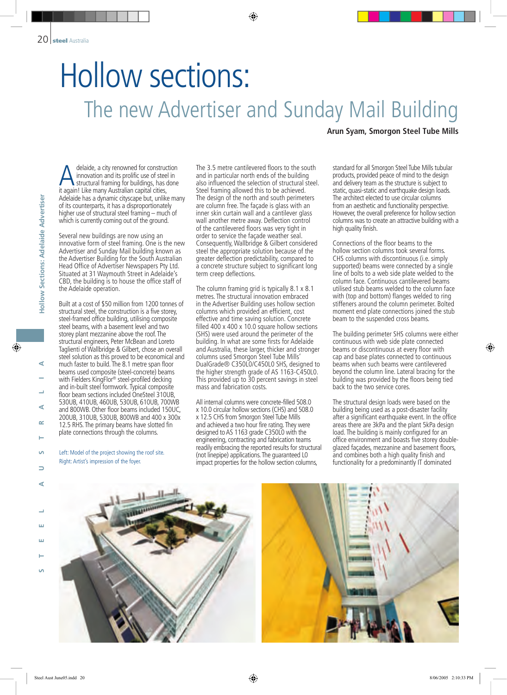## Hollow sections: The new Advertiser and Sunday Mail Building

## **Arun Syam, Smorgon Steel Tube Mills**

standard for all Smorgon Steel Tube Mills tubular products, provided peace of mind to the design and delivery team as the structure is subject to static, quasi-static and earthquake design loads. The architect elected to use circular columns from an aesthetic and functionality perspective. However, the overall preference for hollow section columns was to create an attractive building with a high quality finish.

Connections of the floor beams to the hollow section columns took several forms. CHS columns with discontinuous (i.e. simply supported) beams were connected by a single line of bolts to a web side plate welded to the column face. Continuous cantilevered beams utilised stub beams welded to the column face with (top and bottom) flanges welded to ring stiffeners around the column perimeter. Bolted moment end plate connections joined the stub beam to the suspended cross beams.

The building perimeter SHS columns were either continuous with web side plate connected beams or discontinuous at every floor with cap and base plates connected to continuous beams when such beams were cantilevered beyond the column line. Lateral bracing for the building was provided by the floors being tied back to the two service cores.

The structural design loads were based on the building being used as a post-disaster facility after a significant earthquake event. In the office areas there are 3kPa and the plant 5kPa design load. The building is mainly configured for an office environment and boasts five storey doubleglazed façades, mezzanine and basement floors, and combines both a high quality finish and functionality for a predominantly IT dominated

innovation and its prolific use of steel in structural framing for buildings, has done it again! Like many Australian capital cities, Adelaide has a dynamic cityscape but, unlike many of its counterparts, it has a disproportionately higher use of structural steel framing – much of which is currently coming out of the ground.

Several new buildings are now using an innovative form of steel framing. One is the new Advertiser and Sunday Mail building known as the Advertiser Building for the South Australian Head Office of Advertiser Newspapers Pty Ltd. Situated at 31 Waymouth Street in Adelaide's CBD, the building is to house the office staff of the Adelaide operation.

Madiatel, a city renowned for construction<br>
a invocution and its prolific use of sele in<br>
a structural framing for buildings, has done<br>
the Adelaide has a dynamic citycape but, unlike man<br>
of its counterparts, it has a dis Built at a cost of \$50 million from 1200 tonnes of structural steel, the construction is a five storey, steel-framed office building, utilising composite steel beams, with a basement level and two storey plant mezzanine above the roof. The structural engineers, Peter McBean and Loreto Taglienti of Wallbridge & Gilbert, chose an overall steel solution as this proved to be economical and much faster to build. The 8.1 metre span floor beams used composite (steel-concrete) beams with Fielders KingFlor ® steel-profiled decking and in-built steel formwork. Typical composite floor beam sections included OneSteel 310UB, 530UB, 410UB, 460UB, 530UB, 610UB, 700WB and 800WB. Other floor beams included 150UC, 200UB, 310UB, 530UB, 800WB and 400 x 300x 12.5 RHS. The primary beams have slotted fin plate connections through the columns.

Left: Model of the project showing the roof site. Right: Artist's impression of the foyer.

The 3.5 metre cantilevered floors to the south and in particular north ends of the building also influenced the selection of structural steel. Steel framing allowed this to be achieved. The design of the north and south perimeters are column free. The façade is glass with an inner skin curtain wall and a cantilever glass wall another metre away. Deflection control of the cantilevered floors was very tight in order to service the façade weather seal. Consequently, Wallbridge & Gilbert considered steel the appropriate solution because of the greater deflection predictability, compared to a concrete structure subject to significant long term creep deflections.

The column framing grid is typically 8.1 x 8.1 metres. The structural innovation embraced in the Advertiser Building uses hollow section columns which provided an efficient, cost effective and time saving solution. Concrete filled 400 x 400 x 10.0 square hollow sections (SHS) were used around the perimeter of the building. In what are some firsts for Adelaide and Australia, these larger, thicker and stronger columns used Smorgon Steel Tube Mills' DualGrade® C350L0/C450L0 SHS, designed to the higher strength grade of AS 1163-C450L0. This provided up to 30 percent savings in steel mass and fabrication costs.

All internal columns were concrete-filled 508.0 x 10.0 circular hollow sections (CHS) and 508.0 x 12.5 CHS from Smorgon Steel Tube Mills and achieved a two hour fire rating. They were designed to AS 1163 grade C350L0 with the engineering, contracting and fabrication teams readily embracing the reported results for structural (not linepipe) applications. The guaranteed L0 impact properties for the hollow section columns,